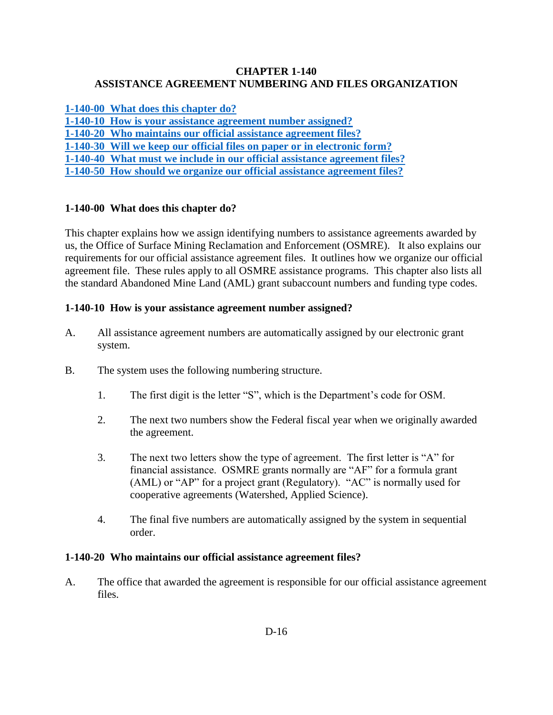### **CHAPTER 1-140 ASSISTANCE AGREEMENT NUMBERING AND FILES ORGANIZATION**

**[1-140-00 What does this chapter do?](#page-0-0)**

**[1-140-10 How is your assistance agreement number assigned?](#page-0-1)**

**1-140-20 Who maintains [our official assistance agreement files?](#page-0-2)**

**[1-140-30 Will we keep our official files on paper or in electronic form?](#page-1-0)**

**[1-140-40 What must we include in our official assistance agreement files?](#page-1-1)**

**[1-140-50 How should we organize our official assistance agreement files?](#page-1-2)**

## <span id="page-0-0"></span>**1-140-00 What does this chapter do?**

This chapter explains how we assign identifying numbers to assistance agreements awarded by us, the Office of Surface Mining Reclamation and Enforcement (OSMRE). It also explains our requirements for our official assistance agreement files. It outlines how we organize our official agreement file. These rules apply to all OSMRE assistance programs. This chapter also lists all the standard Abandoned Mine Land (AML) grant subaccount numbers and funding type codes.

### <span id="page-0-1"></span>**1-140-10 How is your assistance agreement number assigned?**

- A. All assistance agreement numbers are automatically assigned by our electronic grant system.
- B. The system uses the following numbering structure.
	- 1. The first digit is the letter "S", which is the Department's code for OSM.
	- 2. The next two numbers show the Federal fiscal year when we originally awarded the agreement.
	- 3. The next two letters show the type of agreement. The first letter is "A" for financial assistance. OSMRE grants normally are "AF" for a formula grant (AML) or "AP" for a project grant (Regulatory). "AC" is normally used for cooperative agreements (Watershed, Applied Science).
	- 4. The final five numbers are automatically assigned by the system in sequential order.

#### <span id="page-0-2"></span>**1-140-20 Who maintains our official assistance agreement files?**

A. The office that awarded the agreement is responsible for our official assistance agreement files.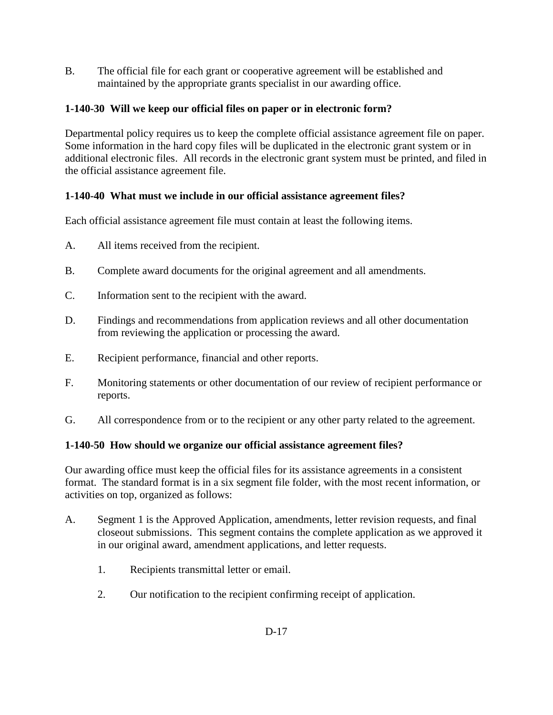B. The official file for each grant or cooperative agreement will be established and maintained by the appropriate grants specialist in our awarding office.

## <span id="page-1-0"></span>**1-140-30 Will we keep our official files on paper or in electronic form?**

Departmental policy requires us to keep the complete official assistance agreement file on paper. Some information in the hard copy files will be duplicated in the electronic grant system or in additional electronic files. All records in the electronic grant system must be printed, and filed in the official assistance agreement file.

## <span id="page-1-1"></span>**1-140-40 What must we include in our official assistance agreement files?**

Each official assistance agreement file must contain at least the following items.

- A. All items received from the recipient.
- B. Complete award documents for the original agreement and all amendments.
- C. Information sent to the recipient with the award.
- D. Findings and recommendations from application reviews and all other documentation from reviewing the application or processing the award.
- E. Recipient performance, financial and other reports.
- F. Monitoring statements or other documentation of our review of recipient performance or reports.
- G. All correspondence from or to the recipient or any other party related to the agreement.

# <span id="page-1-2"></span>**1-140-50 How should we organize our official assistance agreement files?**

Our awarding office must keep the official files for its assistance agreements in a consistent format. The standard format is in a six segment file folder, with the most recent information, or activities on top, organized as follows:

- A. Segment 1 is the Approved Application, amendments, letter revision requests, and final closeout submissions. This segment contains the complete application as we approved it in our original award, amendment applications, and letter requests.
	- 1. Recipients transmittal letter or email.
	- 2. Our notification to the recipient confirming receipt of application.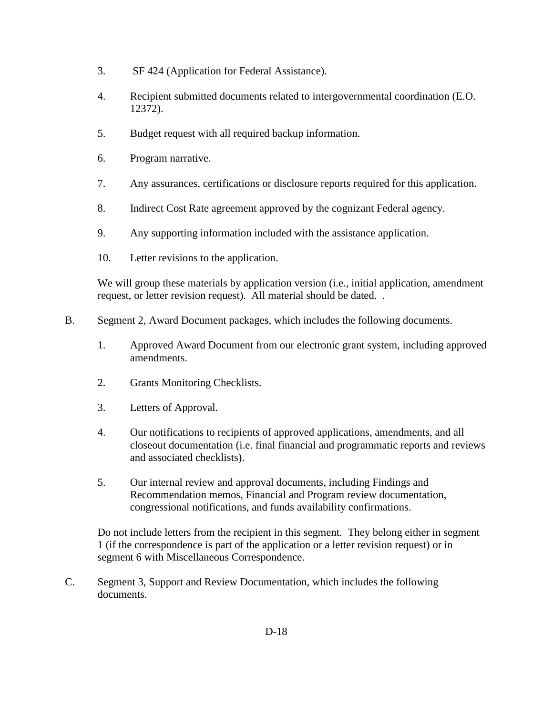- 3. SF 424 (Application for Federal Assistance).
- 4. Recipient submitted documents related to intergovernmental coordination (E.O. 12372).
- 5. Budget request with all required backup information.
- 6. Program narrative.
- 7. Any assurances, certifications or disclosure reports required for this application.
- 8. Indirect Cost Rate agreement approved by the cognizant Federal agency.
- 9. Any supporting information included with the assistance application.
- 10. Letter revisions to the application.

We will group these materials by application version (i.e., initial application, amendment request, or letter revision request). All material should be dated. .

- B. Segment 2, Award Document packages, which includes the following documents.
	- 1. Approved Award Document from our electronic grant system, including approved amendments.
	- 2. Grants Monitoring Checklists.
	- 3. Letters of Approval.
	- 4. Our notifications to recipients of approved applications, amendments, and all closeout documentation (i.e. final financial and programmatic reports and reviews and associated checklists).
	- 5. Our internal review and approval documents, including Findings and Recommendation memos, Financial and Program review documentation, congressional notifications, and funds availability confirmations.

Do not include letters from the recipient in this segment. They belong either in segment 1 (if the correspondence is part of the application or a letter revision request) or in segment 6 with Miscellaneous Correspondence.

C. Segment 3, Support and Review Documentation, which includes the following documents.